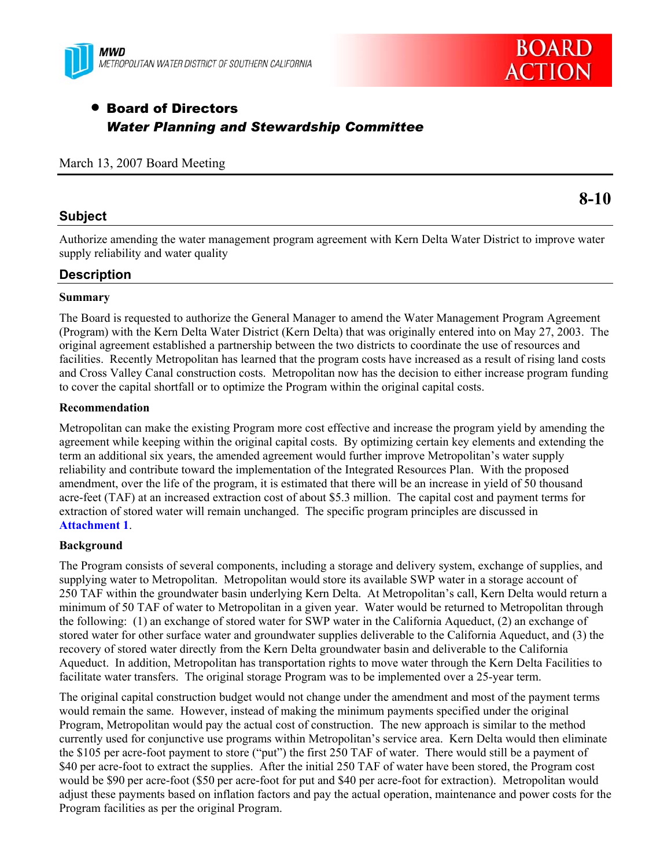



# • Board of Directors *Water Planning and Stewardship Committee*

#### March 13, 2007 Board Meeting

### **Subject**

**8-10** 

Authorize amending the water management program agreement with Kern Delta Water District to improve water supply reliability and water quality

### **Description**

#### **Summary**

The Board is requested to authorize the General Manager to amend the Water Management Program Agreement (Program) with the Kern Delta Water District (Kern Delta) that was originally entered into on May 27, 2003. The original agreement established a partnership between the two districts to coordinate the use of resources and facilities. Recently Metropolitan has learned that the program costs have increased as a result of rising land costs and Cross Valley Canal construction costs. Metropolitan now has the decision to either increase program funding to cover the capital shortfall or to optimize the Program within the original capital costs.

#### **Recommendation**

Metropolitan can make the existing Program more cost effective and increase the program yield by amending the agreement while keeping within the original capital costs. By optimizing certain key elements and extending the term an additional six years, the amended agreement would further improve Metropolitan's water supply reliability and contribute toward the implementation of the Integrated Resources Plan. With the proposed amendment, over the life of the program, it is estimated that there will be an increase in yield of 50 thousand acre-feet (TAF) at an increased extraction cost of about \$5.3 million. The capital cost and payment terms for extraction of stored water will remain unchanged. The specific program principles are discussed in **Attachment 1**.

#### **Background**

The Program consists of several components, including a storage and delivery system, exchange of supplies, and supplying water to Metropolitan. Metropolitan would store its available SWP water in a storage account of 250 TAF within the groundwater basin underlying Kern Delta. At Metropolitan's call, Kern Delta would return a minimum of 50 TAF of water to Metropolitan in a given year. Water would be returned to Metropolitan through the following: (1) an exchange of stored water for SWP water in the California Aqueduct, (2) an exchange of stored water for other surface water and groundwater supplies deliverable to the California Aqueduct, and (3) the recovery of stored water directly from the Kern Delta groundwater basin and deliverable to the California Aqueduct. In addition, Metropolitan has transportation rights to move water through the Kern Delta Facilities to facilitate water transfers. The original storage Program was to be implemented over a 25-year term.

The original capital construction budget would not change under the amendment and most of the payment terms would remain the same. However, instead of making the minimum payments specified under the original Program, Metropolitan would pay the actual cost of construction. The new approach is similar to the method currently used for conjunctive use programs within Metropolitan's service area. Kern Delta would then eliminate the \$105 per acre-foot payment to store ("put") the first 250 TAF of water. There would still be a payment of \$40 per acre-foot to extract the supplies. After the initial 250 TAF of water have been stored, the Program cost would be \$90 per acre-foot (\$50 per acre-foot for put and \$40 per acre-foot for extraction). Metropolitan would adjust these payments based on inflation factors and pay the actual operation, maintenance and power costs for the Program facilities as per the original Program.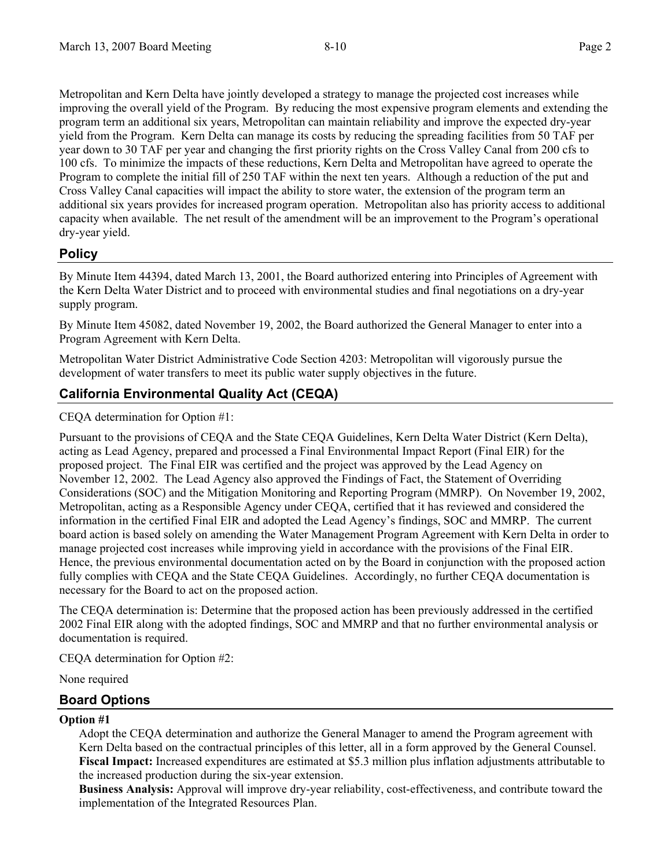Metropolitan and Kern Delta have jointly developed a strategy to manage the projected cost increases while improving the overall yield of the Program. By reducing the most expensive program elements and extending the program term an additional six years, Metropolitan can maintain reliability and improve the expected dry-year yield from the Program. Kern Delta can manage its costs by reducing the spreading facilities from 50 TAF per year down to 30 TAF per year and changing the first priority rights on the Cross Valley Canal from 200 cfs to 100 cfs. To minimize the impacts of these reductions, Kern Delta and Metropolitan have agreed to operate the Program to complete the initial fill of 250 TAF within the next ten years. Although a reduction of the put and Cross Valley Canal capacities will impact the ability to store water, the extension of the program term an additional six years provides for increased program operation. Metropolitan also has priority access to additional capacity when available. The net result of the amendment will be an improvement to the Program's operational dry-year yield.

### **Policy**

By Minute Item 44394, dated March 13, 2001, the Board authorized entering into Principles of Agreement with the Kern Delta Water District and to proceed with environmental studies and final negotiations on a dry-year supply program.

By Minute Item 45082, dated November 19, 2002, the Board authorized the General Manager to enter into a Program Agreement with Kern Delta.

Metropolitan Water District Administrative Code Section 4203: Metropolitan will vigorously pursue the development of water transfers to meet its public water supply objectives in the future.

### **California Environmental Quality Act (CEQA)**

CEQA determination for Option #1:

Pursuant to the provisions of CEQA and the State CEQA Guidelines, Kern Delta Water District (Kern Delta), acting as Lead Agency, prepared and processed a Final Environmental Impact Report (Final EIR) for the proposed project. The Final EIR was certified and the project was approved by the Lead Agency on November 12, 2002. The Lead Agency also approved the Findings of Fact, the Statement of Overriding Considerations (SOC) and the Mitigation Monitoring and Reporting Program (MMRP). On November 19, 2002, Metropolitan, acting as a Responsible Agency under CEQA, certified that it has reviewed and considered the information in the certified Final EIR and adopted the Lead Agency's findings, SOC and MMRP. The current board action is based solely on amending the Water Management Program Agreement with Kern Delta in order to manage projected cost increases while improving yield in accordance with the provisions of the Final EIR. Hence, the previous environmental documentation acted on by the Board in conjunction with the proposed action fully complies with CEQA and the State CEQA Guidelines. Accordingly, no further CEQA documentation is necessary for the Board to act on the proposed action.

The CEQA determination is: Determine that the proposed action has been previously addressed in the certified 2002 Final EIR along with the adopted findings, SOC and MMRP and that no further environmental analysis or documentation is required.

CEQA determination for Option #2:

None required

### **Board Options**

### **Option #1**

Adopt the CEQA determination and authorize the General Manager to amend the Program agreement with Kern Delta based on the contractual principles of this letter, all in a form approved by the General Counsel. **Fiscal Impact:** Increased expenditures are estimated at \$5.3 million plus inflation adjustments attributable to the increased production during the six-year extension.

**Business Analysis:** Approval will improve dry-year reliability, cost-effectiveness, and contribute toward the implementation of the Integrated Resources Plan.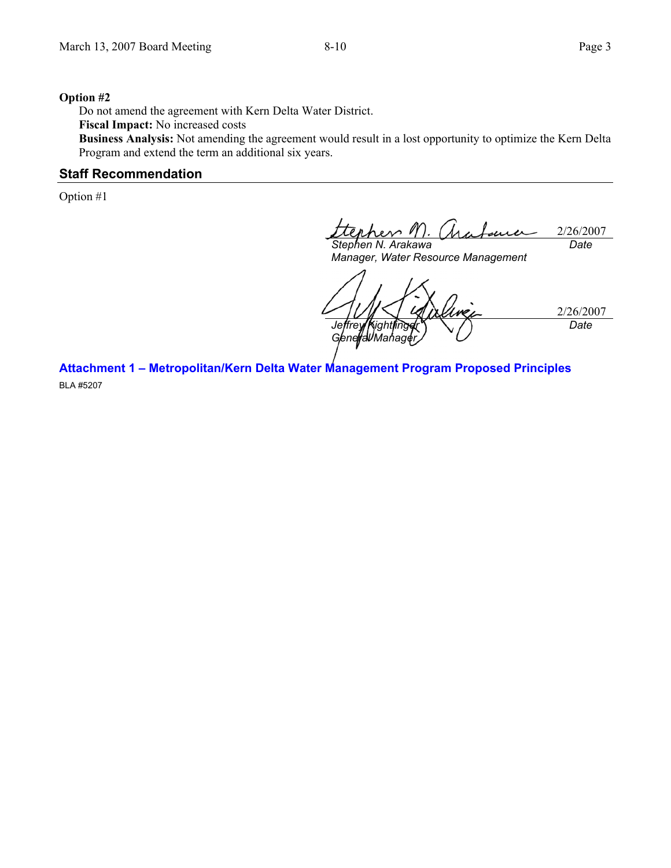#### **Option #2**

Do not amend the agreement with Kern Delta Water District.

**Fiscal Impact:** No increased costs

**Business Analysis:** Not amending the agreement would result in a lost opportunity to optimize the Kern Delta Program and extend the term an additional six years.

### **Staff Recommendation**

Option #1

2/26/2007 *Date* 

*Stephen N. Arakawa Manager, Water Resource Management* 

2/26/2007 *Jeffrey Kightlinger General Manager Date* 

**Attachment 1 – Metropolitan/Kern Delta Water Management Program Proposed Principles**  BLA #5207